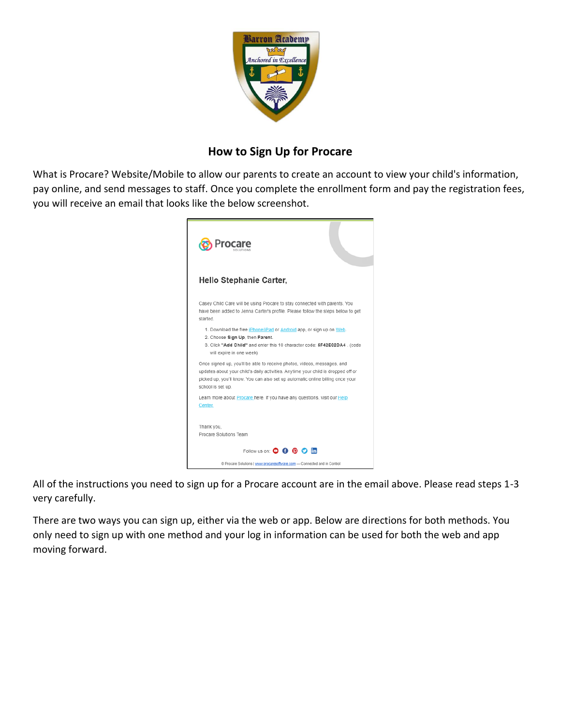

## **How to Sign Up for Procare**

What is Procare? Website/Mobile to allow our parents to create an account to view your child's information, pay online, and send messages to staff. Once you complete the enrollment form and pay the registration fees, you will receive an email that looks like the below screenshot.



All of the instructions you need to sign up for a Procare account are in the email above. Please read steps 1-3 very carefully.

There are two ways you can sign up, either via the web or app. Below are directions for both methods. You only need to sign up with one method and your log in information can be used for both the web and app moving forward.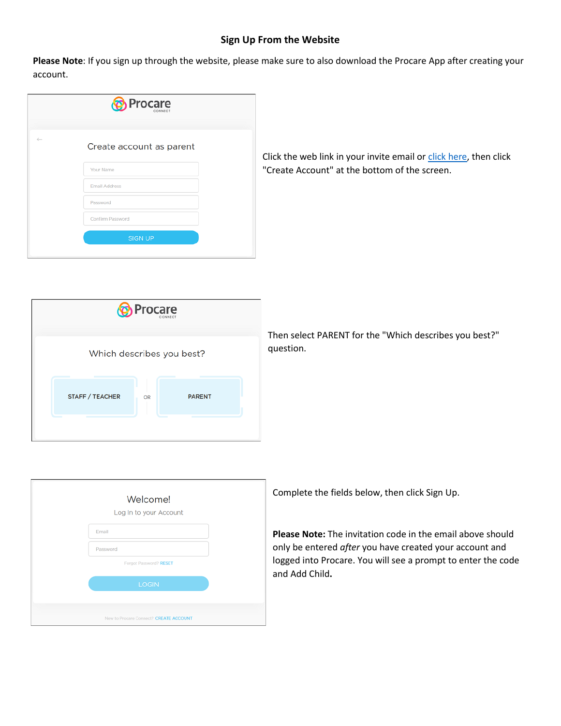## **Sign Up From the Website**

**Please Note**: If you sign up through the website, please make sure to also download the Procare App after creating your account.

|              | <b>O</b> Procare         |  |
|--------------|--------------------------|--|
| $\leftarrow$ | Create account as parent |  |
|              | Your Name                |  |
|              | <b>Email Address</b>     |  |
|              | Password                 |  |
|              | Confirm Password         |  |
|              | <b>SIGN UP</b>           |  |
|              |                          |  |

Click the web link in your invite email or [click here,](https://schools.procareconnect.com/login) then click "Create Account" at the bottom of the screen.



Then select PARENT for the "Which describes you best?" question.

|          | Welcome!<br>Log In to your Account     |  |
|----------|----------------------------------------|--|
| Email    |                                        |  |
| Password |                                        |  |
|          | Forgot Password? RESET                 |  |
|          | <b>LOGIN</b>                           |  |
|          |                                        |  |
|          | New to Procare Connect? CREATE ACCOUNT |  |

Complete the fields below, then click Sign Up.

**Please Note:** The invitation code in the email above should only be entered *after* you have created your account and logged into Procare. You will see a prompt to enter the code and Add Child**.**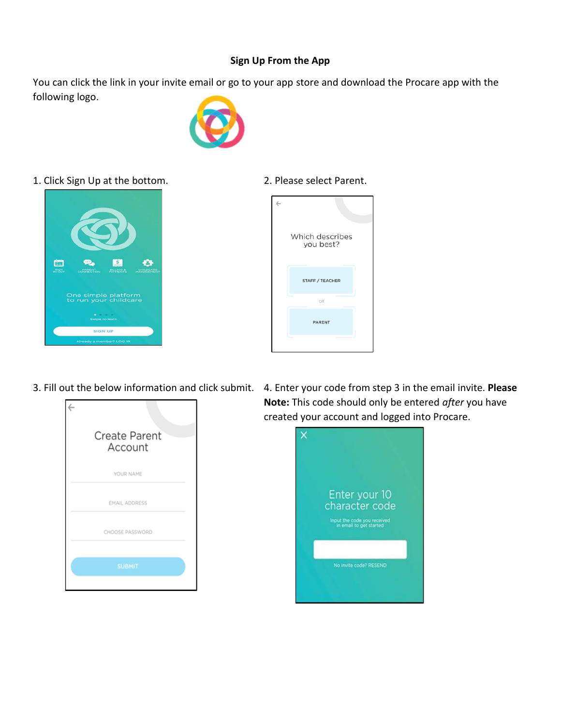## **Sign Up From the App**

You can click the link in your invite email or go to your app store and download the Procare app with the following logo.



1. Click Sign Up at the bottom. 2. Please select Parent.







3. Fill out the below information and click submit. 4. Enter your code from step 3 in the email invite. **Please Note:** This code should only be entered *after* you have created your account and logged into Procare.